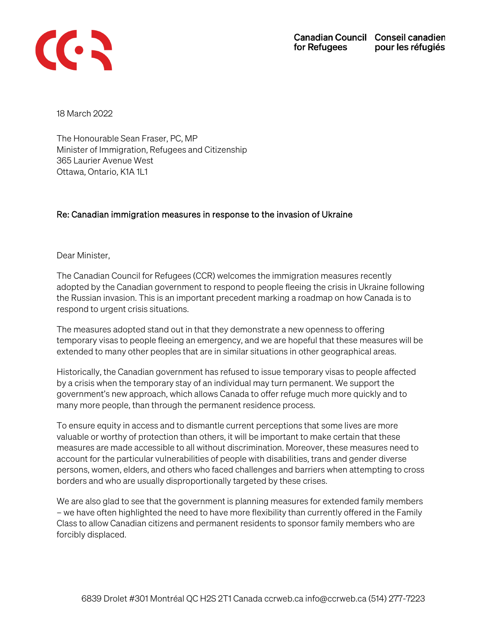

18 March 2022

The Honourable Sean Fraser, PC, MP Minister of Immigration, Refugees and Citizenship 365 Laurier Avenue West Ottawa, Ontario, K1A 1L1

## Re: Canadian immigration measures in response to the invasion of Ukraine

Dear Minister,

The Canadian Council for Refugees (CCR) welcomes the immigration measures recently adopted by the Canadian government to respond to people fleeing the crisis in Ukraine following the Russian invasion. This is an important precedent marking a roadmap on how Canada is to respond to urgent crisis situations.

The measures adopted stand out in that they demonstrate a new openness to offering temporary visas to people fleeing an emergency, and we are hopeful that these measures will be extended to many other peoples that are in similar situations in other geographical areas.

Historically, the Canadian government has refused to issue temporary visas to people affected by a crisis when the temporary stay of an individual may turn permanent. We support the government's new approach, which allows Canada to offer refuge much more quickly and to many more people, than through the permanent residence process.

To ensure equity in access and to dismantle current perceptions that some lives are more valuable or worthy of protection than others, it will be important to make certain that these measures are made accessible to all without discrimination. Moreover, these measures need to account for the particular vulnerabilities of people with disabilities, trans and gender diverse persons, women, elders, and others who faced challenges and barriers when attempting to cross borders and who are usually disproportionally targeted by these crises.

We are also glad to see that the government is planning measures for extended family members – we have often highlighted the need to have more flexibility than currently offered in the Family Class to allow Canadian citizens and permanent residents to sponsor family members who are forcibly displaced.